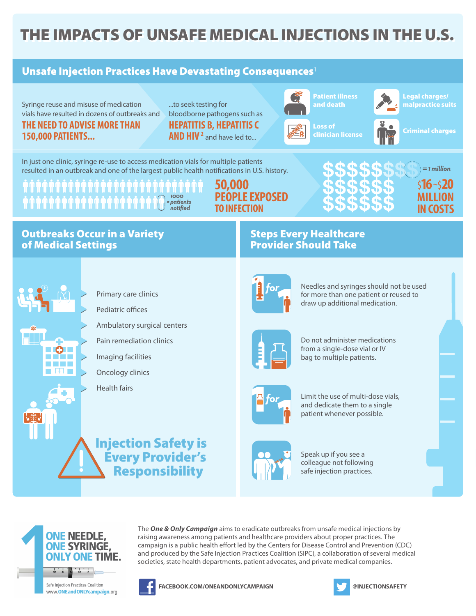## THE IMPACTS OF UNSAFE MEDICAL INJECTIONS IN THE U.S.

## Unsafe Injection Practices Have Devastating Consequences<sup>1</sup> Patient illness Legal charges/ Syringe reuse and misuse of medication ...to seek testing for and death malpractice suits vials have resulted in dozens of outbreaks and bloodborne pathogens such as **THE NEED TO ADVISE MORE THAN HEPATITIS B, HEPATITIS C**  Loss of **REVOKED** Criminal charges clinician license **AND HIV** <sup>2</sup> and have led to... **150,000 PATIENTS...** In just one clinic, syringe re-use to access medication vials for multiple patients =*1 million* resulted in an outbreak and one of the largest public health notifications in U.S. history. **50,000**  \$**16~**\$**20 PEOPLE EXPOSED MILLION**  *1000 = patients* **`````````````````````````````**  *notified* **TO INFECTION IN COSTS** Outbreaks Occur in a Variety Steps Every Healthcare Provider Should Take of Medical Settings Needles and syringes should not be used *for* Primary care clinics for more than one patient or reused to draw up additional medication. Pediatric offices Ambulatory surgical centers Do not administer medications Pain remediation clinics from a single-dose vial or IV Imaging facilities bag to multiple patients. Oncology clinics Health fairs Limit the use of multi-dose vials, *for* and dedicate them to a single patient whenever possible. Injection Safety is Every Provider's Speak up if you see a colleague not following Responsibility safe injection practices.



Safe Injection Practices Coalition www.ONEandONLYcampaign.org



**FACEBOOK.COM/ONEANDONLYCAMPAIGN @INJECTIONSAFETY**

The *One & Only Campaign* aims to eradicate outbreaks from unsafe medical injections by raising awareness among patients and healthcare providers about proper practices. The campaign is a public health effort led by the Centers for Disease Control and Prevention (CDC) and produced by the Safe Injection Practices Coalition (SIPC), a collaboration of several medical societies, state health departments, patient advocates, and private medical companies.